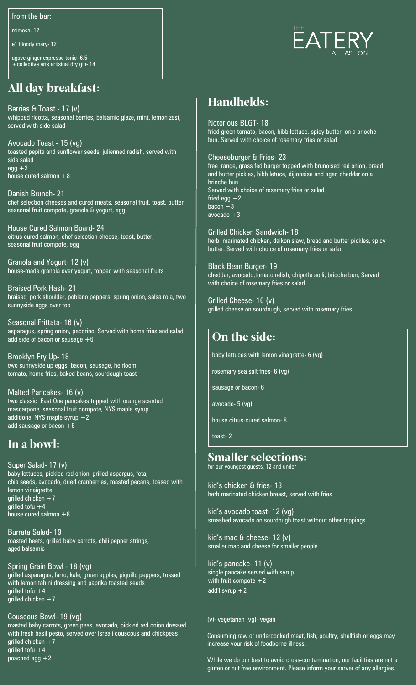from the bar:

mimosa- 12

e1 bloody mary- 12

agave ginger espresso tonic- 6.5 +collective arts artisinal dry gin- 14

# All day breakfast:

Berries & Toast - 17 (v) whipped ricotta, seasonal berries, balsamic glaze, mint, lemon zest, served with side salad

Avocado Toast - 15 (vg) toasted pepita and sunflower seeds, julienned radish, served with side salad  $egg + 2$ house cured salmon  $+8$ 

Danish Brunch- 21 chef selection cheeses and cured meats, seasonal fruit, toast, butter, seasonal fruit compote, granola & yogurt, egg

House Cured Salmon Board- 24 citrus cured salmon, chef selection cheese, toast, butter, seasonal fruit compote, egg

Granola and Yogurt- 12 (v) house-made granola over yogurt, topped with seasonal fruits

Braised Pork Hash- 21 braised pork shoulder, poblano peppers, spring onion, salsa roja, two sunnyside eggs over top

Seasonal Frittata- 16 (v) asparagus, spring onion, pecorino. Served with home fries and salad. add side of bacon or sausage  $+6$ 

Brooklyn Fry Up- 18 two sunnyside up eggs, bacon, sausage, heirloom tomato, home fries, baked beans, sourdough toast

Malted Pancakes- 16 (v) two classic East One pancakes topped with orange scented mascarpone, seasonal fruit compote, NYS maple syrup additional NYS maple syrup  $+2$ add sausage or bacon  $+6$ 

## In a bowl:

Super Salad- 17 (v) baby lettuces, pickled red onion, grilled aspargus, feta, chia seeds, avocado, dried cranberries, roasted pecans, tossed with lemon vinaigrette qrilled chicken  $+7$ grilled tofu  $+4$ house cured salmon  $+8$ 

Burrata Salad- 19 roasted beets, grilled baby carrots, chili pepper strings, aged balsamic

Spring Grain Bowl - 18 (vg) grilled asparagus, farro, kale, green apples, piquillo peppers, tossed with lemon tahini dressing and paprika toasted seeds grilled tofu  $+4$ grilled chicken  $+7$ 

Couscous Bowl- 19 (vg) roasted baby carrots, green peas, avocado, pickled red onion dressed with fresh basil pesto, served over Isreali couscous and chickpeas grilled chicken  $+7$ grilled tofu  $+4$ poached egg  $+2$ 



# Handhelds:

Notorious BLGT- 18 fried green tomato, bacon, bibb lettuce, spicy butter, on a brioche bun. Served with choice of rosemary fries or salad

Cheeseburger & Fries- 23

free range, grass fed burger topped with brunoised red onion, bread and butter pickles, bibb letuce, dijionaise and aged cheddar on a brioche bun. Served with choice of rosemary fries or salad fried egg  $+2$ bacon  $+3$ avocado  $+3$ 

Grilled Chicken Sandwich- 18 herb marinated chicken, daikon slaw, bread and butter pickles, spicy butter. Served with choice of rosemary fries or salad

Black Bean Burger- 19 cheddar, avocado,tomato relish, chipotle aoili, brioche bun, Served with choice of rosemary fries or salad

Grilled Cheese- 16 (v) grilled cheese on sourdough, served with rosemary fries

# On the side:

baby lettuces with lemon vinagrette- 6 (vg)

rosemary sea salt fries- 6 (vg)

sausage or bacon- 6

avocado- 5 (vg)

house citrus-cured salmon- 8

toast- 2

### Smaller selections:

for our youngest guests, 12 and under

kid's chicken & fries- 13 herb marinated chicken breast, served with fries

kid's avocado toast- 12 (vg) smashed avocado on sourdough toast without other toppings

kid's mac & cheese- 12 (v) smaller mac and cheese for smaller people

kid's pancake- 11 (v) single pancake served with syrup with fruit compote  $+2$ add'l syrup  $+2$ 

#### (v)- vegetarian (vg)- vegan

Consuming raw or undercooked meat, fish, poultry, shellfish or eggs may increase your risk of foodborne illness.

While we do our best to avoid cross-contamination, our facilities are not a gluten or nut free environment. Please inform your server of any allergies.